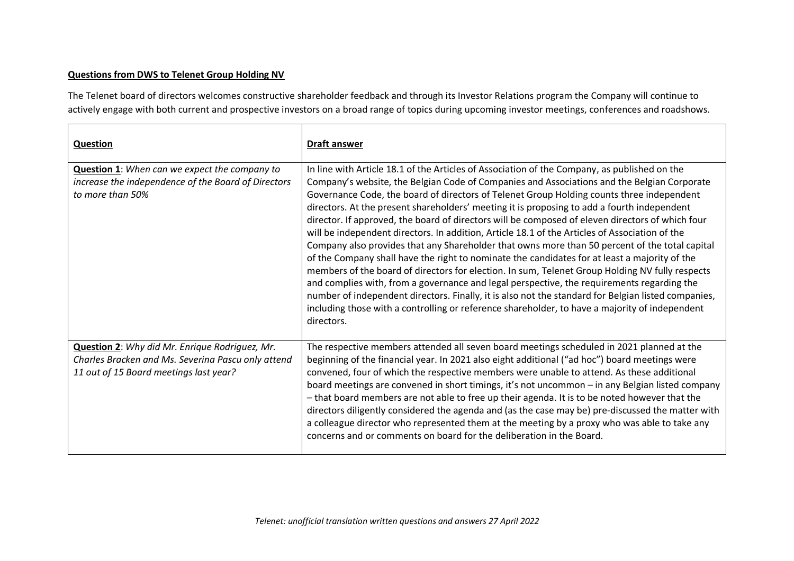## **Questions from DWS to Telenet Group Holding NV**

The Telenet board of directors welcomes constructive shareholder feedback and through its Investor Relations program the Company will continue to actively engage with both current and prospective investors on a broad range of topics during upcoming investor meetings, conferences and roadshows.

| <b>Question</b>                                                                                                                                       | <b>Draft answer</b>                                                                                                                                                                                                                                                                                                                                                                                                                                                                                                                                                                                                                                                                                                                                                                                                                                                                                                                                                                                                                                                                                                                                                                                                      |
|-------------------------------------------------------------------------------------------------------------------------------------------------------|--------------------------------------------------------------------------------------------------------------------------------------------------------------------------------------------------------------------------------------------------------------------------------------------------------------------------------------------------------------------------------------------------------------------------------------------------------------------------------------------------------------------------------------------------------------------------------------------------------------------------------------------------------------------------------------------------------------------------------------------------------------------------------------------------------------------------------------------------------------------------------------------------------------------------------------------------------------------------------------------------------------------------------------------------------------------------------------------------------------------------------------------------------------------------------------------------------------------------|
| Question 1: When can we expect the company to<br>increase the independence of the Board of Directors<br>to more than 50%                              | In line with Article 18.1 of the Articles of Association of the Company, as published on the<br>Company's website, the Belgian Code of Companies and Associations and the Belgian Corporate<br>Governance Code, the board of directors of Telenet Group Holding counts three independent<br>directors. At the present shareholders' meeting it is proposing to add a fourth independent<br>director. If approved, the board of directors will be composed of eleven directors of which four<br>will be independent directors. In addition, Article 18.1 of the Articles of Association of the<br>Company also provides that any Shareholder that owns more than 50 percent of the total capital<br>of the Company shall have the right to nominate the candidates for at least a majority of the<br>members of the board of directors for election. In sum, Telenet Group Holding NV fully respects<br>and complies with, from a governance and legal perspective, the requirements regarding the<br>number of independent directors. Finally, it is also not the standard for Belgian listed companies,<br>including those with a controlling or reference shareholder, to have a majority of independent<br>directors. |
| <b>Question 2:</b> Why did Mr. Enrique Rodriguez, Mr.<br>Charles Bracken and Ms. Severina Pascu only attend<br>11 out of 15 Board meetings last year? | The respective members attended all seven board meetings scheduled in 2021 planned at the<br>beginning of the financial year. In 2021 also eight additional ("ad hoc") board meetings were<br>convened, four of which the respective members were unable to attend. As these additional<br>board meetings are convened in short timings, it's not uncommon - in any Belgian listed company<br>- that board members are not able to free up their agenda. It is to be noted however that the<br>directors diligently considered the agenda and (as the case may be) pre-discussed the matter with<br>a colleague director who represented them at the meeting by a proxy who was able to take any<br>concerns and or comments on board for the deliberation in the Board.                                                                                                                                                                                                                                                                                                                                                                                                                                                 |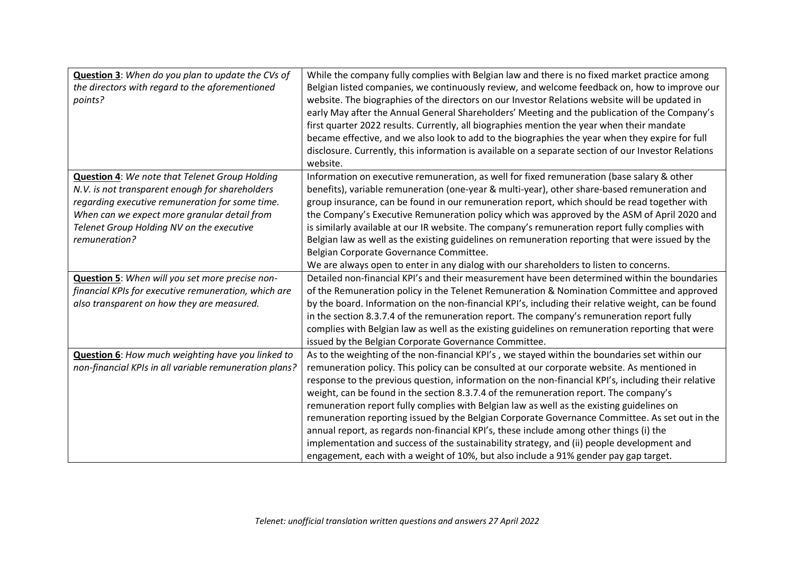| Question 3: When do you plan to update the CVs of<br>the directors with regard to the aforementioned<br>points?                                                                                                                                                           | While the company fully complies with Belgian law and there is no fixed market practice among<br>Belgian listed companies, we continuously review, and welcome feedback on, how to improve our<br>website. The biographies of the directors on our Investor Relations website will be updated in<br>early May after the Annual General Shareholders' Meeting and the publication of the Company's<br>first quarter 2022 results. Currently, all biographies mention the year when their mandate<br>became effective, and we also look to add to the biographies the year when they expire for full                                                                                                                                                                                                                                                                            |
|---------------------------------------------------------------------------------------------------------------------------------------------------------------------------------------------------------------------------------------------------------------------------|-------------------------------------------------------------------------------------------------------------------------------------------------------------------------------------------------------------------------------------------------------------------------------------------------------------------------------------------------------------------------------------------------------------------------------------------------------------------------------------------------------------------------------------------------------------------------------------------------------------------------------------------------------------------------------------------------------------------------------------------------------------------------------------------------------------------------------------------------------------------------------|
|                                                                                                                                                                                                                                                                           | disclosure. Currently, this information is available on a separate section of our Investor Relations<br>website.                                                                                                                                                                                                                                                                                                                                                                                                                                                                                                                                                                                                                                                                                                                                                              |
| <b>Question 4: We note that Telenet Group Holding</b><br>N.V. is not transparent enough for shareholders<br>regarding executive remuneration for some time.<br>When can we expect more granular detail from<br>Telenet Group Holding NV on the executive<br>remuneration? | Information on executive remuneration, as well for fixed remuneration (base salary & other<br>benefits), variable remuneration (one-year & multi-year), other share-based remuneration and<br>group insurance, can be found in our remuneration report, which should be read together with<br>the Company's Executive Remuneration policy which was approved by the ASM of April 2020 and<br>is similarly available at our IR website. The company's remuneration report fully complies with<br>Belgian law as well as the existing guidelines on remuneration reporting that were issued by the<br>Belgian Corporate Governance Committee.<br>We are always open to enter in any dialog with our shareholders to listen to concerns.                                                                                                                                         |
| Question 5: When will you set more precise non-<br>financial KPIs for executive remuneration, which are<br>also transparent on how they are measured.                                                                                                                     | Detailed non-financial KPI's and their measurement have been determined within the boundaries<br>of the Remuneration policy in the Telenet Remuneration & Nomination Committee and approved<br>by the board. Information on the non-financial KPI's, including their relative weight, can be found<br>in the section 8.3.7.4 of the remuneration report. The company's remuneration report fully<br>complies with Belgian law as well as the existing guidelines on remuneration reporting that were<br>issued by the Belgian Corporate Governance Committee.                                                                                                                                                                                                                                                                                                                 |
| Question 6: How much weighting have you linked to<br>non-financial KPIs in all variable remuneration plans?                                                                                                                                                               | As to the weighting of the non-financial KPI's, we stayed within the boundaries set within our<br>remuneration policy. This policy can be consulted at our corporate website. As mentioned in<br>response to the previous question, information on the non-financial KPI's, including their relative<br>weight, can be found in the section 8.3.7.4 of the remuneration report. The company's<br>remuneration report fully complies with Belgian law as well as the existing guidelines on<br>remuneration reporting issued by the Belgian Corporate Governance Committee. As set out in the<br>annual report, as regards non-financial KPI's, these include among other things (i) the<br>implementation and success of the sustainability strategy, and (ii) people development and<br>engagement, each with a weight of 10%, but also include a 91% gender pay gap target. |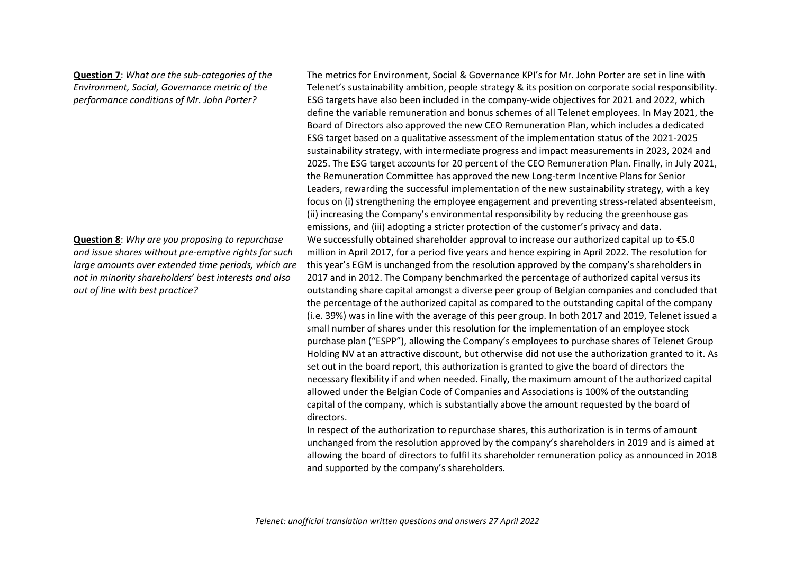| <b>Question 7:</b> What are the sub-categories of the  | The metrics for Environment, Social & Governance KPI's for Mr. John Porter are set in line with       |
|--------------------------------------------------------|-------------------------------------------------------------------------------------------------------|
| Environment, Social, Governance metric of the          | Telenet's sustainability ambition, people strategy & its position on corporate social responsibility. |
| performance conditions of Mr. John Porter?             | ESG targets have also been included in the company-wide objectives for 2021 and 2022, which           |
|                                                        | define the variable remuneration and bonus schemes of all Telenet employees. In May 2021, the         |
|                                                        | Board of Directors also approved the new CEO Remuneration Plan, which includes a dedicated            |
|                                                        | ESG target based on a qualitative assessment of the implementation status of the 2021-2025            |
|                                                        | sustainability strategy, with intermediate progress and impact measurements in 2023, 2024 and         |
|                                                        | 2025. The ESG target accounts for 20 percent of the CEO Remuneration Plan. Finally, in July 2021,     |
|                                                        | the Remuneration Committee has approved the new Long-term Incentive Plans for Senior                  |
|                                                        | Leaders, rewarding the successful implementation of the new sustainability strategy, with a key       |
|                                                        | focus on (i) strengthening the employee engagement and preventing stress-related absenteeism,         |
|                                                        | (ii) increasing the Company's environmental responsibility by reducing the greenhouse gas             |
|                                                        | emissions, and (iii) adopting a stricter protection of the customer's privacy and data.               |
| <b>Question 8:</b> Why are you proposing to repurchase | We successfully obtained shareholder approval to increase our authorized capital up to €5.0           |
| and issue shares without pre-emptive rights for such   | million in April 2017, for a period five years and hence expiring in April 2022. The resolution for   |
| large amounts over extended time periods, which are    | this year's EGM is unchanged from the resolution approved by the company's shareholders in            |
| not in minority shareholders' best interests and also  | 2017 and in 2012. The Company benchmarked the percentage of authorized capital versus its             |
| out of line with best practice?                        | outstanding share capital amongst a diverse peer group of Belgian companies and concluded that        |
|                                                        | the percentage of the authorized capital as compared to the outstanding capital of the company        |
|                                                        | (i.e. 39%) was in line with the average of this peer group. In both 2017 and 2019, Telenet issued a   |
|                                                        | small number of shares under this resolution for the implementation of an employee stock              |
|                                                        | purchase plan ("ESPP"), allowing the Company's employees to purchase shares of Telenet Group          |
|                                                        | Holding NV at an attractive discount, but otherwise did not use the authorization granted to it. As   |
|                                                        | set out in the board report, this authorization is granted to give the board of directors the         |
|                                                        | necessary flexibility if and when needed. Finally, the maximum amount of the authorized capital       |
|                                                        | allowed under the Belgian Code of Companies and Associations is 100% of the outstanding               |
|                                                        | capital of the company, which is substantially above the amount requested by the board of             |
|                                                        | directors.                                                                                            |
|                                                        | In respect of the authorization to repurchase shares, this authorization is in terms of amount        |
|                                                        | unchanged from the resolution approved by the company's shareholders in 2019 and is aimed at          |
|                                                        | allowing the board of directors to fulfil its shareholder remuneration policy as announced in 2018    |
|                                                        | and supported by the company's shareholders.                                                          |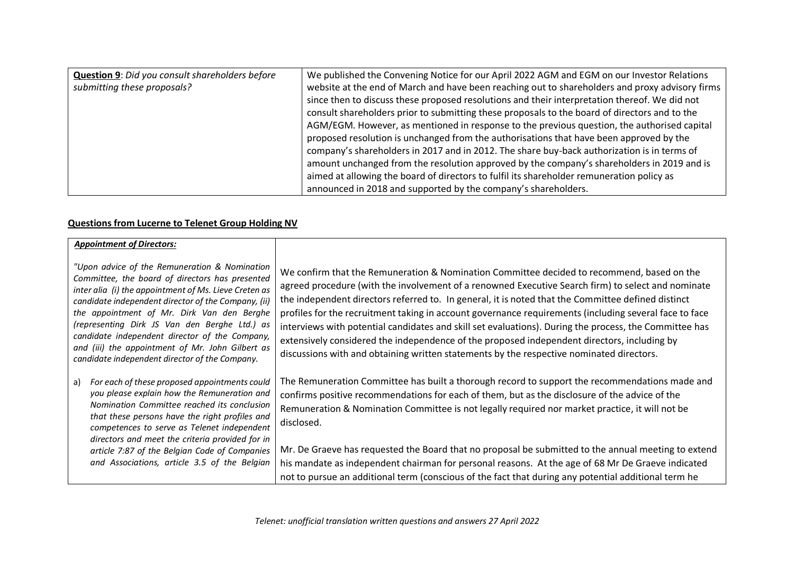| <b>Question 9: Did you consult shareholders before</b> | We published the Convening Notice for our April 2022 AGM and EGM on our Investor Relations      |
|--------------------------------------------------------|-------------------------------------------------------------------------------------------------|
| submitting these proposals?                            | website at the end of March and have been reaching out to shareholders and proxy advisory firms |
|                                                        | since then to discuss these proposed resolutions and their interpretation thereof. We did not   |
|                                                        | consult shareholders prior to submitting these proposals to the board of directors and to the   |
|                                                        | AGM/EGM. However, as mentioned in response to the previous question, the authorised capital     |
|                                                        | proposed resolution is unchanged from the authorisations that have been approved by the         |
|                                                        | company's shareholders in 2017 and in 2012. The share buy-back authorization is in terms of     |
|                                                        | amount unchanged from the resolution approved by the company's shareholders in 2019 and is      |
|                                                        | aimed at allowing the board of directors to fulfil its shareholder remuneration policy as       |
|                                                        | announced in 2018 and supported by the company's shareholders.                                  |

## **Questions from Lucerne to Telenet Group Holding NV**

| <b>Appointment of Directors:</b>                                                                                                                                                                                                                                                                                                                                                                                                                                        |                                                                                                                                                                                                                                                                                                                                                                                                                                                                                                                                                                                                                                                                                                                       |
|-------------------------------------------------------------------------------------------------------------------------------------------------------------------------------------------------------------------------------------------------------------------------------------------------------------------------------------------------------------------------------------------------------------------------------------------------------------------------|-----------------------------------------------------------------------------------------------------------------------------------------------------------------------------------------------------------------------------------------------------------------------------------------------------------------------------------------------------------------------------------------------------------------------------------------------------------------------------------------------------------------------------------------------------------------------------------------------------------------------------------------------------------------------------------------------------------------------|
| "Upon advice of the Remuneration & Nomination<br>Committee, the board of directors has presented<br>inter alia (i) the appointment of Ms. Lieve Creten as<br>candidate independent director of the Company, (ii)<br>the appointment of Mr. Dirk Van den Berghe<br>(representing Dirk JS Van den Berghe Ltd.) as<br>candidate independent director of the Company,<br>and (iii) the appointment of Mr. John Gilbert as<br>candidate independent director of the Company. | We confirm that the Remuneration & Nomination Committee decided to recommend, based on the<br>agreed procedure (with the involvement of a renowned Executive Search firm) to select and nominate<br>the independent directors referred to. In general, it is noted that the Committee defined distinct<br>profiles for the recruitment taking in account governance requirements (including several face to face<br>interviews with potential candidates and skill set evaluations). During the process, the Committee has<br>extensively considered the independence of the proposed independent directors, including by<br>discussions with and obtaining written statements by the respective nominated directors. |
| For each of these proposed appointments could<br>a)<br>you please explain how the Remuneration and<br>Nomination Committee reached its conclusion<br>that these persons have the right profiles and<br>competences to serve as Telenet independent<br>directors and meet the criteria provided for in<br>article 7:87 of the Belgian Code of Companies<br>and Associations, article 3.5 of the Belgian                                                                  | The Remuneration Committee has built a thorough record to support the recommendations made and<br>confirms positive recommendations for each of them, but as the disclosure of the advice of the<br>Remuneration & Nomination Committee is not legally required nor market practice, it will not be<br>disclosed.<br>Mr. De Graeve has requested the Board that no proposal be submitted to the annual meeting to extend<br>his mandate as independent chairman for personal reasons. At the age of 68 Mr De Graeve indicated<br>not to pursue an additional term (conscious of the fact that during any potential additional term he                                                                                 |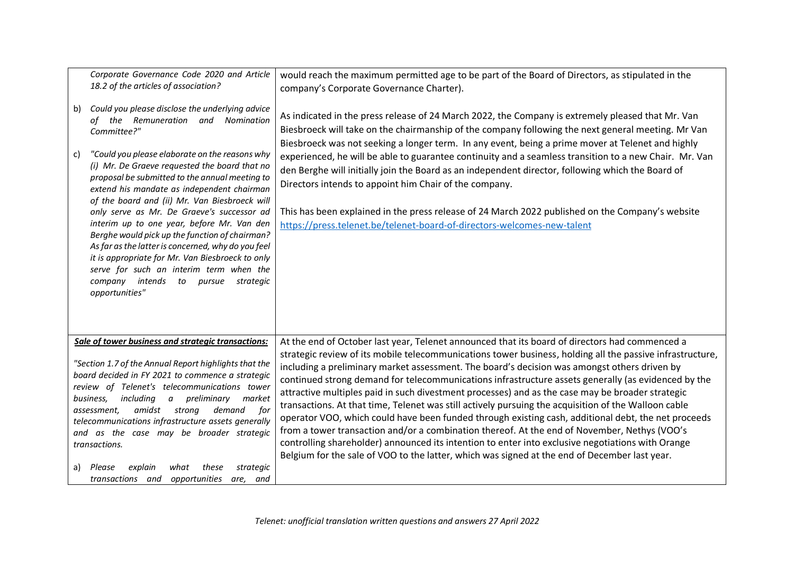|          | Corporate Governance Code 2020 and Article<br>18.2 of the articles of association?                                                                                                                                                                                                                                                                                                                                                                                                                                                                                                                                                                                                                                         | would reach the maximum permitted age to be part of the Board of Directors, as stipulated in the<br>company's Corporate Governance Charter).                                                                                                                                                                                                                                                                                                                                                                                                                                                                                                                                                                                                                                                                                                                                                                                                                                                                                                |
|----------|----------------------------------------------------------------------------------------------------------------------------------------------------------------------------------------------------------------------------------------------------------------------------------------------------------------------------------------------------------------------------------------------------------------------------------------------------------------------------------------------------------------------------------------------------------------------------------------------------------------------------------------------------------------------------------------------------------------------------|---------------------------------------------------------------------------------------------------------------------------------------------------------------------------------------------------------------------------------------------------------------------------------------------------------------------------------------------------------------------------------------------------------------------------------------------------------------------------------------------------------------------------------------------------------------------------------------------------------------------------------------------------------------------------------------------------------------------------------------------------------------------------------------------------------------------------------------------------------------------------------------------------------------------------------------------------------------------------------------------------------------------------------------------|
| b)<br>c) | Could you please disclose the underlying advice<br>of the Remuneration and<br>Nomination<br>Committee?"<br>"Could you please elaborate on the reasons why<br>(i) Mr. De Graeve requested the board that no<br>proposal be submitted to the annual meeting to<br>extend his mandate as independent chairman<br>of the board and (ii) Mr. Van Biesbroeck will<br>only serve as Mr. De Graeve's successor ad<br>interim up to one year, before Mr. Van den<br>Berghe would pick up the function of chairman?<br>As far as the latter is concerned, why do you feel<br>it is appropriate for Mr. Van Biesbroeck to only<br>serve for such an interim term when the<br>company intends to pursue<br>strategic<br>opportunities" | As indicated in the press release of 24 March 2022, the Company is extremely pleased that Mr. Van<br>Biesbroeck will take on the chairmanship of the company following the next general meeting. Mr Van<br>Biesbroeck was not seeking a longer term. In any event, being a prime mover at Telenet and highly<br>experienced, he will be able to guarantee continuity and a seamless transition to a new Chair. Mr. Van<br>den Berghe will initially join the Board as an independent director, following which the Board of<br>Directors intends to appoint him Chair of the company.<br>This has been explained in the press release of 24 March 2022 published on the Company's website<br>https://press.telenet.be/telenet-board-of-directors-welcomes-new-talent                                                                                                                                                                                                                                                                        |
|          | Sale of tower business and strategic transactions:<br>"Section 1.7 of the Annual Report highlights that the<br>board decided in FY 2021 to commence a strategic<br>review of Telenet's telecommunications tower<br>preliminary<br>business,<br>includina<br>market<br>a<br>amidst<br>strong<br>demand<br>assessment,<br>for<br>telecommunications infrastructure assets generally<br>and as the case may be broader strategic<br>transactions.<br>a) Please<br>explain<br>strategic<br>what<br>these<br>transactions and<br>opportunities<br>are, and                                                                                                                                                                      | At the end of October last year, Telenet announced that its board of directors had commenced a<br>strategic review of its mobile telecommunications tower business, holding all the passive infrastructure,<br>including a preliminary market assessment. The board's decision was amongst others driven by<br>continued strong demand for telecommunications infrastructure assets generally (as evidenced by the<br>attractive multiples paid in such divestment processes) and as the case may be broader strategic<br>transactions. At that time, Telenet was still actively pursuing the acquisition of the Walloon cable<br>operator VOO, which could have been funded through existing cash, additional debt, the net proceeds<br>from a tower transaction and/or a combination thereof. At the end of November, Nethys (VOO's<br>controlling shareholder) announced its intention to enter into exclusive negotiations with Orange<br>Belgium for the sale of VOO to the latter, which was signed at the end of December last year. |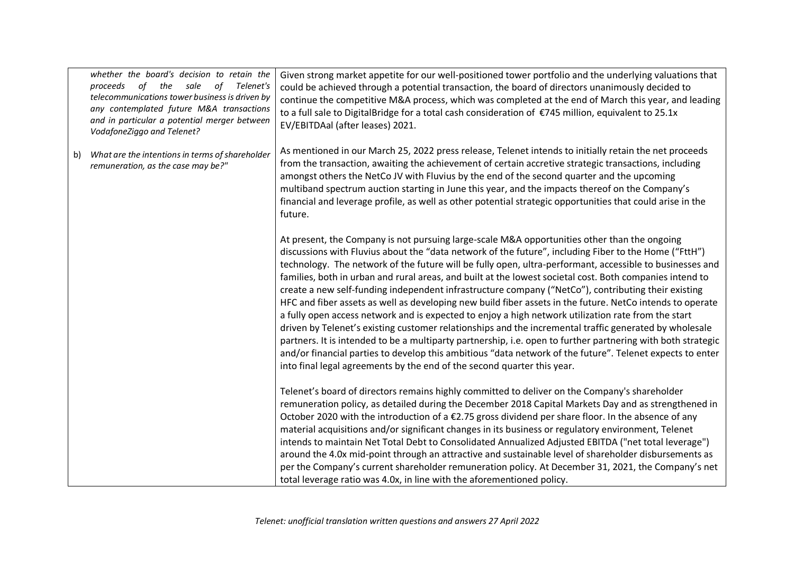|    | whether the board's decision to retain the<br>of<br>sale<br>Telenet's<br>proceeds<br>the<br>of<br>telecommunications tower business is driven by<br>any contemplated future M&A transactions<br>and in particular a potential merger between<br>VodafoneZiggo and Telenet? | Given strong market appetite for our well-positioned tower portfolio and the underlying valuations that<br>could be achieved through a potential transaction, the board of directors unanimously decided to<br>continue the competitive M&A process, which was completed at the end of March this year, and leading<br>to a full sale to DigitalBridge for a total cash consideration of €745 million, equivalent to 25.1x<br>EV/EBITDAal (after leases) 2021.                                                                                                                                                                                                                                                                                                                                                                                                                                                                                                                                                                                                                                                                                                             |
|----|----------------------------------------------------------------------------------------------------------------------------------------------------------------------------------------------------------------------------------------------------------------------------|----------------------------------------------------------------------------------------------------------------------------------------------------------------------------------------------------------------------------------------------------------------------------------------------------------------------------------------------------------------------------------------------------------------------------------------------------------------------------------------------------------------------------------------------------------------------------------------------------------------------------------------------------------------------------------------------------------------------------------------------------------------------------------------------------------------------------------------------------------------------------------------------------------------------------------------------------------------------------------------------------------------------------------------------------------------------------------------------------------------------------------------------------------------------------|
| b) | What are the intentions in terms of shareholder<br>remuneration, as the case may be?"                                                                                                                                                                                      | As mentioned in our March 25, 2022 press release, Telenet intends to initially retain the net proceeds<br>from the transaction, awaiting the achievement of certain accretive strategic transactions, including<br>amongst others the NetCo JV with Fluvius by the end of the second quarter and the upcoming<br>multiband spectrum auction starting in June this year, and the impacts thereof on the Company's<br>financial and leverage profile, as well as other potential strategic opportunities that could arise in the<br>future.                                                                                                                                                                                                                                                                                                                                                                                                                                                                                                                                                                                                                                  |
|    |                                                                                                                                                                                                                                                                            | At present, the Company is not pursuing large-scale M&A opportunities other than the ongoing<br>discussions with Fluvius about the "data network of the future", including Fiber to the Home ("FttH")<br>technology. The network of the future will be fully open, ultra-performant, accessible to businesses and<br>families, both in urban and rural areas, and built at the lowest societal cost. Both companies intend to<br>create a new self-funding independent infrastructure company ("NetCo"), contributing their existing<br>HFC and fiber assets as well as developing new build fiber assets in the future. NetCo intends to operate<br>a fully open access network and is expected to enjoy a high network utilization rate from the start<br>driven by Telenet's existing customer relationships and the incremental traffic generated by wholesale<br>partners. It is intended to be a multiparty partnership, i.e. open to further partnering with both strategic<br>and/or financial parties to develop this ambitious "data network of the future". Telenet expects to enter<br>into final legal agreements by the end of the second quarter this year. |
|    |                                                                                                                                                                                                                                                                            | Telenet's board of directors remains highly committed to deliver on the Company's shareholder<br>remuneration policy, as detailed during the December 2018 Capital Markets Day and as strengthened in<br>October 2020 with the introduction of a €2.75 gross dividend per share floor. In the absence of any<br>material acquisitions and/or significant changes in its business or regulatory environment, Telenet<br>intends to maintain Net Total Debt to Consolidated Annualized Adjusted EBITDA ("net total leverage")<br>around the 4.0x mid-point through an attractive and sustainable level of shareholder disbursements as<br>per the Company's current shareholder remuneration policy. At December 31, 2021, the Company's net<br>total leverage ratio was 4.0x, in line with the aforementioned policy.                                                                                                                                                                                                                                                                                                                                                       |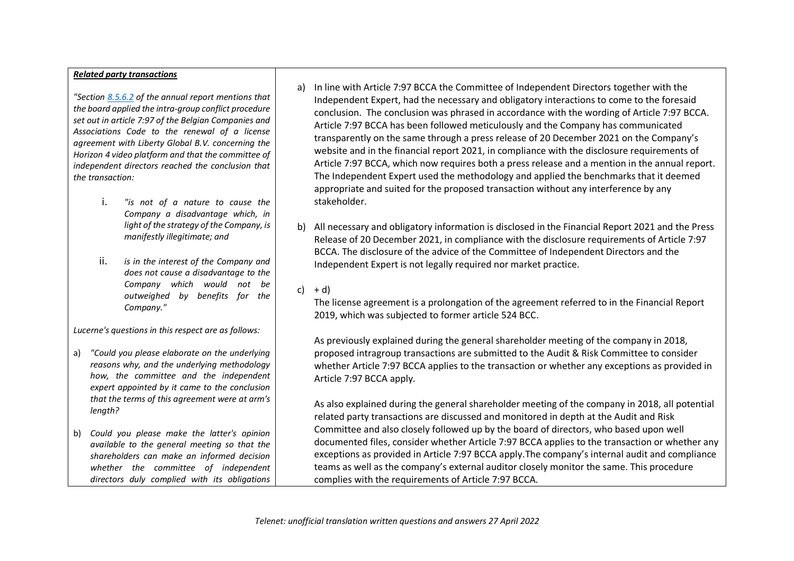## *Related party transactions*

*"Sectio[n 8.5.6.2](https://urldefense.proofpoint.com/v2/url?u=http-3A__8.5.6.2&d=DwQGaQ&c=euGZstcaTDllvimEN8b7jXrwqOf-v5A_CdpgnVfiiMM&r=7UY9cJgiIi1450FpwB_0wr1tRPsFI9xNeRJuXGuWxIU&m=q-mZpVRoRRrkJJq-JGtoSdkOIDypKW6mqxEdV4mN5xM&s=OFwTFvdZszejGKCFA1jPxAaxKa7jSKfedqXeLQCDatY&e=) of the annual report mentions that the board applied the intra-group conflict procedure set out in article 7:97 of the Belgian Companies and Associations Code to the renewal of a license agreement with Liberty Global B.V. concerning the Horizon 4 video platform and that the committee of independent directors reached the conclusion that the transaction:* 

- i. *"is not of a nature to cause the Company a disadvantage which, in light of the strategy of the Company, is manifestly illegitimate; and*
- ii. *is in the interest of the Company and does not cause a disadvantage to the Company which would not be outweighed by benefits for the Company."*

*Lucerne's questions in this respect are as follows:* 

- a) *"Could you please elaborate on the underlying reasons why, and the underlying methodology how, the committee and the independent expert appointed by it came to the conclusion that the terms of this agreement were at arm's length?*
- b) *Could you please make the latter's opinion available to the general meeting so that the shareholders can make an informed decision whether the committee of independent directors duly complied with its obligations*
- a) In line with Article 7:97 BCCA the Committee of Independent Directors together with the Independent Expert, had the necessary and obligatory interactions to come to the foresaid conclusion. The conclusion was phrased in accordance with the wording of Article 7:97 BCCA. Article 7:97 BCCA has been followed meticulously and the Company has communicated transparently on the same through a press release of 20 December 2021 on the Company's website and in the financial report 2021, in compliance with the disclosure requirements of Article 7:97 BCCA, which now requires both a press release and a mention in the annual report. The Independent Expert used the methodology and applied the benchmarks that it deemed appropriate and suited for the proposed transaction without any interference by any stakeholder.
- b) All necessary and obligatory information is disclosed in the Financial Report 2021 and the Press Release of 20 December 2021, in compliance with the disclosure requirements of Article 7:97 BCCA. The disclosure of the advice of the Committee of Independent Directors and the Independent Expert is not legally required nor market practice.

## c)  $+ d$ )

The license agreement is a prolongation of the agreement referred to in the Financial Report 2019, which was subjected to former article 524 BCC.

As previously explained during the general shareholder meeting of the company in 2018, proposed intragroup transactions are submitted to the Audit & Risk Committee to consider whether Article 7:97 BCCA applies to the transaction or whether any exceptions as provided in Article 7:97 BCCA apply.

As also explained during the general shareholder meeting of the company in 2018, all potential related party transactions are discussed and monitored in depth at the Audit and Risk Committee and also closely followed up by the board of directors, who based upon well documented files, consider whether Article 7:97 BCCA applies to the transaction or whether any exceptions as provided in Article 7:97 BCCA apply.The company's internal audit and compliance teams as well as the company's external auditor closely monitor the same. This procedure complies with the requirements of Article 7:97 BCCA.